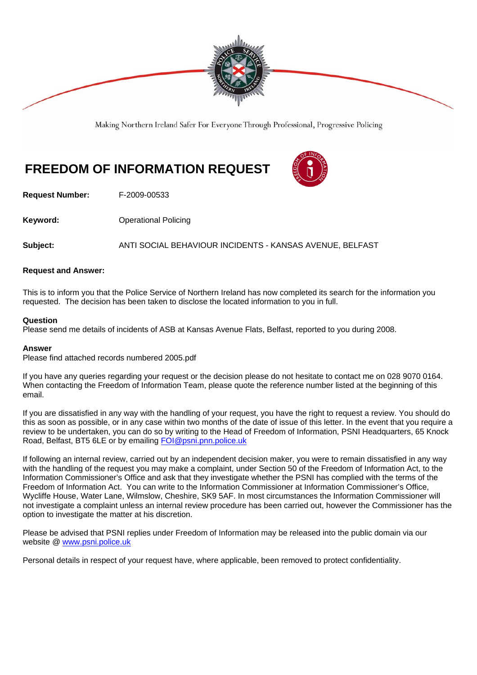

Making Northern Ireland Safer For Everyone Through Professional, Progressive Policing

# **FREEDOM OF INFORMATION REQUEST**



**Request Number:** F-2009-00533

**Keyword: C**Derational Policing

**Subject:** ANTI SOCIAL BEHAVIOUR INCIDENTS - KANSAS AVENUE, BELFAST

#### **Request and Answer:**

This is to inform you that the Police Service of Northern Ireland has now completed its search for the information you requested. The decision has been taken to disclose the located information to you in full.

#### **Question**

Please send me details of incidents of ASB at Kansas Avenue Flats, Belfast, reported to you during 2008.

#### **Answer**

Please find attached records numbered 2005.pdf

If you have any queries regarding your request or the decision please do not hesitate to contact me on 028 9070 0164. When contacting the Freedom of Information Team, please quote the reference number listed at the beginning of this email.

If you are dissatisfied in any way with the handling of your request, you have the right to request a review. You should do this as soon as possible, or in any case within two months of the date of issue of this letter. In the event that you require a review to be undertaken, you can do so by writing to the Head of Freedom of Information, PSNI Headquarters, 65 Knock Road, Belfast, BT5 6LE or by emailing FOI@psni.pnn.police.uk

If following an internal review, carried out by an independent decision maker, you were to remain dissatisfied in any way with the handling of the request you may make a complaint, under Section 50 of the Freedom of Information Act, to the Information Commissioner's Office and ask that they investigate whether the PSNI has complied with the terms of the Freedom of Information Act. You can write to the Information Commissioner at Information Commissioner's Office, Wycliffe House, Water Lane, Wilmslow, Cheshire, SK9 5AF. In most circumstances the Information Commissioner will not investigate a complaint unless an internal review procedure has been carried out, however the Commissioner has the option to investigate the matter at his discretion.

Please be advised that PSNI replies under Freedom of Information may be released into the public domain via our website @ www.psni.police.uk

Personal details in respect of your request have, where applicable, been removed to protect confidentiality.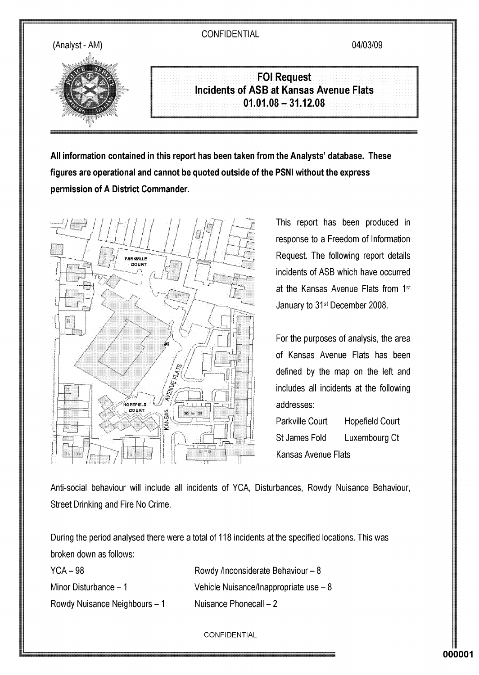04/03/09



**FOI Request Incidents of ASB at Kansas Avenue Flats**  $01.01.08 - 31.12.08$ 

All information contained in this report has been taken from the Analysts' database. These figures are operational and cannot be quoted outside of the PSNI without the express permission of A District Commander.



This report has been produced in response to a Freedom of Information Request. The following report details incidents of ASB which have occurred at the Kansas Avenue Flats from 1<sup>st</sup> January to 31<sup>st</sup> December 2008.

For the purposes of analysis, the area of Kansas Avenue Flats has been defined by the map on the left and includes all incidents at the following addresses:

Parkville Court **Hopefield Court** St James Fold Luxembourg Ct **Kansas Avenue Flats** 

Anti-social behaviour will include all incidents of YCA, Disturbances, Rowdy Nuisance Behaviour, Street Drinking and Fire No Crime.

During the period analysed there were a total of 118 incidents at the specified locations. This was broken down as follows:

 $YCA - 98$ 

Minor Disturbance - 1

Rowdy Nuisance Neighbours - 1

Vehicle Nuisance/Inappropriate use - 8 Nuisance Phonecall - 2

Rowdy /Inconsiderate Behaviour - 8

CONFIDENTIAL